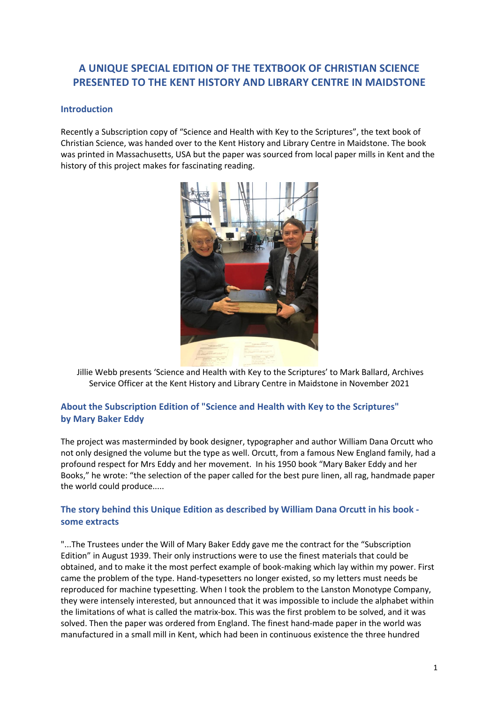# **A UNIQUE SPECIAL EDITION OF THE TEXTBOOK OF CHRISTIAN SCIENCE PRESENTED TO THE KENT HISTORY AND LIBRARY CENTRE IN MAIDSTONE**

### **Introduction**

Recently a Subscription copy of "Science and Health with Key to the Scriptures", the text book of Christian Science, was handed over to the Kent History and Library Centre in Maidstone. The book was printed in Massachusetts, USA but the paper was sourced from local paper mills in Kent and the history of this project makes for fascinating reading.



Jillie Webb presents 'Science and Health with Key to the Scriptures' to Mark Ballard, Archives Service Officer at the Kent History and Library Centre in Maidstone in November 2021

## **About the Subscription Edition of "Science and Health with Key to the Scriptures" by Mary Baker Eddy**

The project was masterminded by book designer, typographer and author William Dana Orcutt who not only designed the volume but the type as well. Orcutt, from a famous New England family, had a profound respect for Mrs Eddy and her movement. In his 1950 book "Mary Baker Eddy and her Books," he wrote: "the selection of the paper called for the best pure linen, all rag, handmade paper the world could produce.....

## **The story behind this Unique Edition as described by William Dana Orcutt in his book some extracts**

"...The Trustees under the Will of Mary Baker Eddy gave me the contract for the "Subscription Edition" in August 1939. Their only instructions were to use the finest materials that could be obtained, and to make it the most perfect example of book-making which lay within my power. First came the problem of the type. Hand-typesetters no longer existed, so my letters must needs be reproduced for machine typesetting. When I took the problem to the Lanston Monotype Company, they were intensely interested, but announced that it was impossible to include the alphabet within the limitations of what is called the matrix-box. This was the first problem to be solved, and it was solved. Then the paper was ordered from England. The finest hand-made paper in the world was manufactured in a small mill in Kent, which had been in continuous existence the three hundred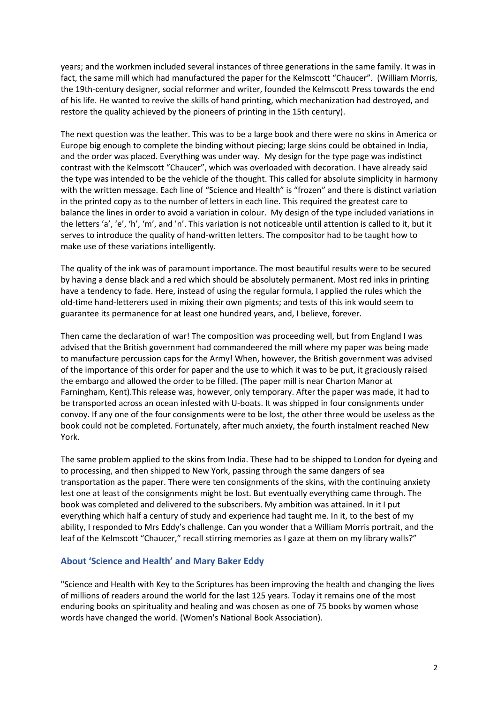years; and the workmen included several instances of three generations in the same family. It was in fact, the same mill which had manufactured the paper for the Kelmscott "Chaucer". (William Morris, the 19th-century designer, social reformer and writer, founded the Kelmscott Press towards the end of his life. He wanted to revive the skills of hand printing, which mechanization had destroyed, and restore the quality achieved by the pioneers of printing in the 15th century).

The next question was the leather. This was to be a large book and there were no skins in America or Europe big enough to complete the binding without piecing; large skins could be obtained in India, and the order was placed. Everything was under way. My design for the type page was indistinct contrast with the Kelmscott "Chaucer", which was overloaded with decoration. I have already said the type was intended to be the vehicle of the thought. This called for absolute simplicity in harmony with the written message. Each line of "Science and Health" is "frozen" and there is distinct variation in the printed copy as to the number of letters in each line. This required the greatest care to balance the lines in order to avoid a variation in colour. My design of the type included variations in the letters 'a', 'e', 'h', 'm', and 'n'. This variation is not noticeable until attention is called to it, but it serves to introduce the quality of hand-written letters. The compositor had to be taught how to make use of these variations intelligently.

The quality of the ink was of paramount importance. The most beautiful results were to be secured by having a dense black and a red which should be absolutely permanent. Most red inks in printing have a tendency to fade. Here, instead of using the regular formula, I applied the rules which the old-time hand-letterers used in mixing their own pigments; and tests of this ink would seem to guarantee its permanence for at least one hundred years, and, I believe, forever.

Then came the declaration of war! The composition was proceeding well, but from England I was advised that the British government had commandeered the mill where my paper was being made to manufacture percussion caps for the Army! When, however, the British government was advised of the importance of this order for paper and the use to which it was to be put, it graciously raised the embargo and allowed the order to be filled. (The paper mill is near Charton Manor at Farningham, Kent).This release was, however, only temporary. After the paper was made, it had to be transported across an ocean infested with U-boats. It was shipped in four consignments under convoy. If any one of the four consignments were to be lost, the other three would be useless as the book could not be completed. Fortunately, after much anxiety, the fourth instalment reached New York.

The same problem applied to the skins from India. These had to be shipped to London for dyeing and to processing, and then shipped to New York, passing through the same dangers of sea transportation as the paper. There were ten consignments of the skins, with the continuing anxiety lest one at least of the consignments might be lost. But eventually everything came through. The book was completed and delivered to the subscribers. My ambition was attained. In it I put everything which half a century of study and experience had taught me. In it, to the best of my ability, I responded to Mrs Eddy's challenge. Can you wonder that a William Morris portrait, and the leaf of the Kelmscott "Chaucer," recall stirring memories as I gaze at them on my library walls?"

#### **About 'Science and Health' and Mary Baker Eddy**

"Science and Health with Key to the Scriptures has been improving the health and changing the lives of millions of readers around the world for the last 125 years. Today it remains one of the most enduring books on spirituality and healing and was chosen as one of 75 books by women whose words have changed the world. (Women's National Book Association).